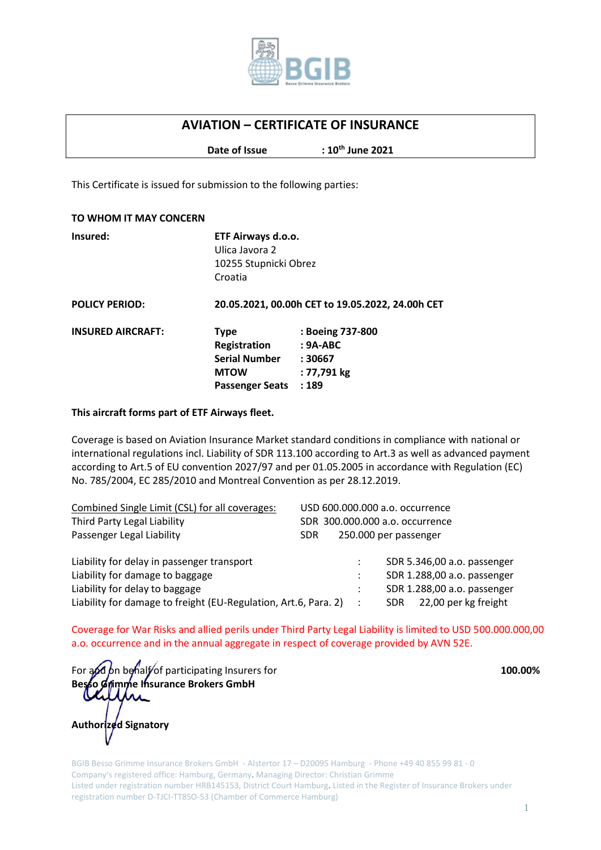

## **AVIATION – CERTIFICATE OF INSURANCE**

**Date of Issue th June 2021**

This Certificate is issued for submission to the following parties:

| TO WHOM IT MAY CONCERN   |                                                                                              |                                                                  |
|--------------------------|----------------------------------------------------------------------------------------------|------------------------------------------------------------------|
| Insured:                 | ETF Airways d.o.o.<br>Ulica Javora 2<br>10255 Stupnicki Obrez<br>Croatia                     |                                                                  |
| <b>POLICY PERIOD:</b>    | 20.05.2021, 00.00h CET to 19.05.2022, 24.00h CET                                             |                                                                  |
| <b>INSURED AIRCRAFT:</b> | <b>Type</b><br>Registration<br><b>Serial Number</b><br><b>MTOW</b><br><b>Passenger Seats</b> | : Boeing 737-800<br>$: 9A-ABC$<br>: 30667<br>: 77,791 kg<br>:189 |

## **This aircraft forms part of ETF Airways fleet.**

Coverage is based on Aviation Insurance Market standard conditions in compliance with national or international regulations incl. Liability of SDR 113.100 according to Art.3 as well as advanced payment according to Art.5 of EU convention 2027/97 and per 01.05.2005 in accordance with Regulation (EC) No. 785/2004, EC 285/2010 and Montreal Convention as per 28.12.2019.

| Combined Single Limit (CSL) for all coverages:                  | USD 600.000.000 a.o. occurrence          |
|-----------------------------------------------------------------|------------------------------------------|
| Third Party Legal Liability                                     | SDR 300,000,000 a.o. occurrence          |
| Passenger Legal Liability                                       | 250.000 per passenger<br>SDR.            |
| Liability for delay in passenger transport                      | SDR 5.346,00 a.o. passenger              |
| Liability for damage to baggage                                 | SDR 1.288,00 a.o. passenger<br>÷         |
| Liability for delay to baggage                                  | SDR 1.288,00 a.o. passenger              |
| Liability for damage to freight (EU-Regulation, Art.6, Para. 2) | 22,00 per kg freight<br>SDR.<br>$\sim$ : |

Coverage for War Risks and allied perils under Third Party Legal Liability is limited to USD 500.000.000,00 a.o. occurrence and in the annual aggregate in respect of coverage provided by AVN 52E.

For and on behalf of participating Insurers for **100.00% 100.00% Besso Grimme Insurance Brokers GmbH**

**Authorized Signatory**

BGIB Besso Grimme Insurance Brokers GmbH - Alstertor 17 – D20095 Hamburg - Phone +49 40 855 99 81 - 0 Company's registered office: Hamburg, Germany. Managing Director: Christian Grimme Listed under registration number HRB145153, District Court Hamburg. Listed in the Register of Insurance Brokers under registration number D-TJCI-TT8SO-53 (Chamber of Commerce Hamburg)